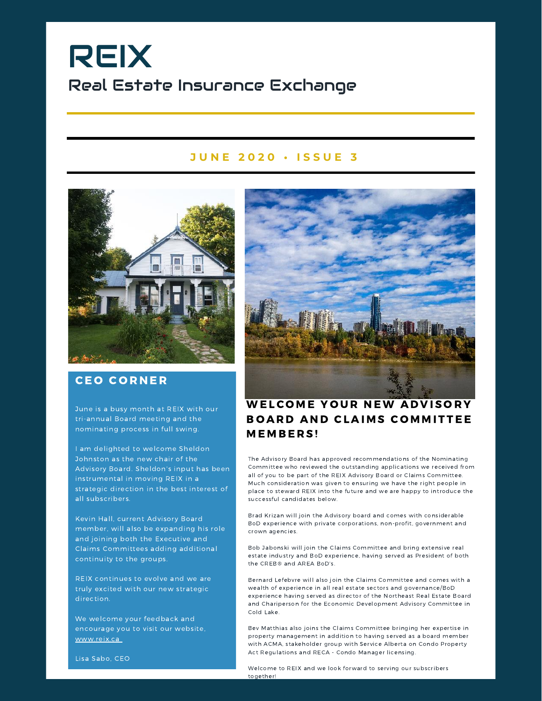# REIX Real Estate Insurance Exchange

### **J U N E 2 0 2 0 • I S S U E 3**



### **CEO CORNER**

June is a busy month at REIX with our tri-annual Board meeting and the nominating process in full swing.

I am delighted to welcome Sheldon Johnston as the new chair of the Advisory Board. Sheldon's input has been instrumental in moving REIX in a strategic direction in the best interest of all subscribers.

Kevin Hall, current Advisory Board member, will also be expanding his role and joining both the Executive and Claims Committees adding additional continuity to the groups.

REIX continues to evolve and we are truly excited with our new strategic direction.

We welcome your feedback and encourage you to visit our website, www.reix.ca



## WELCOME YOUR NEW ADVISORY BOARD AND CLAIMS COMMITTEE MEMBERS!

The Advisory Board has approved recommendations of the Nominating Committee who reviewed the outstanding applications we received from all of you to be part of the REIX Advisory Board or Claims Committee. Much consideration was given to ensuring we have the right people in place to steward REIX into the future and we are happy to introduce the successful candidates below.

Brad Krizan will join the Advisory board and comes with considerable BoD experience with private corporations, non-profit, government and crown agencies.

Bob Jabonski will join the Claims Committee and bring extensive real estate industry and BoD experience, having served as President of both the CREB® and AREA BoD's.

Bernard Lefebvre will also join the Claims Committee and comes with a wealth of experience in all real estate sectors and governance/BoD experience having served as director of the Northeast Real Estate Board and Chariperson for the Economic Development Advisory Committee in Cold Lake.

Bev Matthias also joins the Claims Committee bringing her expertise in property management in addition to having served as a board member with ACMA, stakeholder group with Service Alberta on Condo Property Act Regulations and RECA - Condo Manager licensing.

Lisa Sabo, CEO

Welcome to REIX and we look forward to serving our subscribers together!